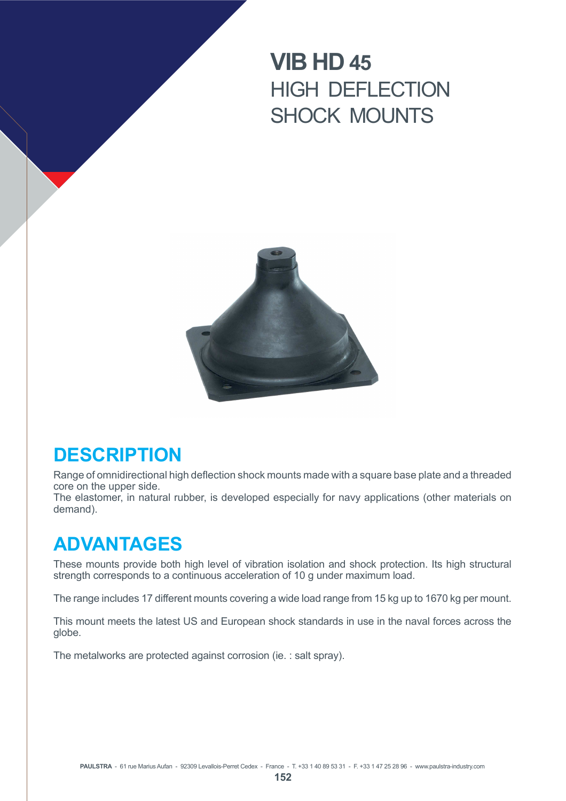# **VIB HD 45** HIGH DEFLECTION SHOCK MOUNTS



# **DESCRIPTION**

Range of omnidirectional high deflection shock mounts made with a square base plate and a threaded core on the upper side.

The elastomer, in natural rubber, is developed especially for navy applications (other materials on demand).

# **ADVANTAGES**

These mounts provide both high level of vibration isolation and shock protection. Its high structural strength corresponds to a continuous acceleration of 10 g under maximum load.

The range includes 17 different mounts covering a wide load range from 15 kg up to 1670 kg per mount.

This mount meets the latest US and European shock standards in use in the naval forces across the globe.

The metalworks are protected against corrosion (ie. : salt spray).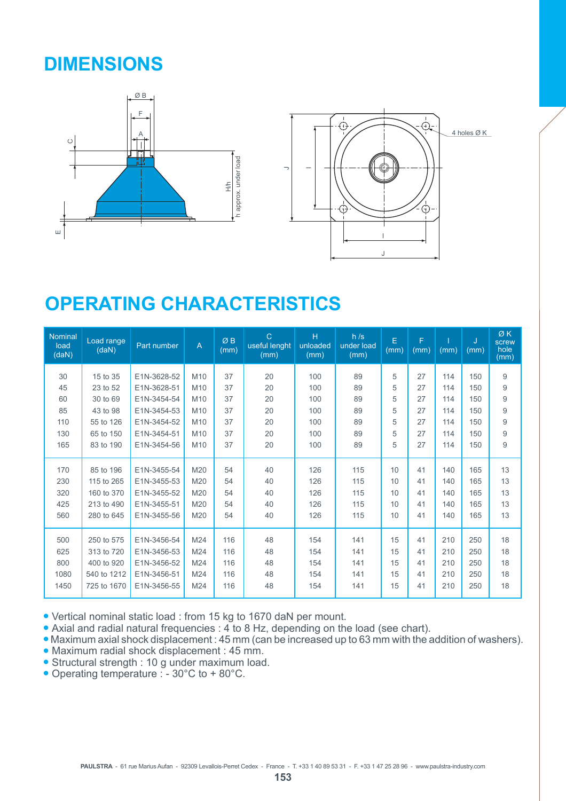# **DIMENSIONS**



# **OPERATING CHARACTERISTICS**

| Nominal<br>load<br>(daN) | Load range<br>(daN) | Part number | A               | ØB<br>(mm) | $\overline{C}$<br>useful lenght<br>(mm) | H<br>unloaded<br>(mm) | h/s<br>under load<br>(mm) | E<br>(mm) | F<br>(mm) | (mm) | J<br>(mm) | ØK<br>screw<br>hole<br>(mm) |
|--------------------------|---------------------|-------------|-----------------|------------|-----------------------------------------|-----------------------|---------------------------|-----------|-----------|------|-----------|-----------------------------|
| 30                       | 15 to 35            | E1N-3628-52 | M <sub>10</sub> | 37         | 20                                      | 100                   | 89                        | 5         | 27        | 114  | 150       | 9                           |
| 45                       | 23 to 52            | E1N-3628-51 | M <sub>10</sub> | 37         | 20                                      | 100                   | 89                        | 5         | 27        | 114  | 150       | 9                           |
| 60                       | 30 to 69            | E1N-3454-54 | M10             | 37         | 20                                      | 100                   | 89                        | 5         | 27        | 114  | 150       | 9                           |
| 85                       | 43 to 98            | E1N-3454-53 | M <sub>10</sub> | 37         | 20                                      | 100                   | 89                        | 5         | 27        | 114  | 150       | 9                           |
| 110                      | 55 to 126           | E1N-3454-52 | M <sub>10</sub> | 37         | 20                                      | 100                   | 89                        | 5         | 27        | 114  | 150       | 9                           |
| 130                      | 65 to 150           | E1N-3454-51 | M10             | 37         | 20                                      | 100                   | 89                        | 5         | 27        | 114  | 150       | 9                           |
| 165                      | 83 to 190           | E1N-3454-56 | M10             | 37         | 20                                      | 100                   | 89                        | 5         | 27        | 114  | 150       | 9                           |
|                          |                     |             |                 |            |                                         |                       |                           |           |           |      |           |                             |
| 170                      | 85 to 196           | E1N-3455-54 | M20             | 54         | 40                                      | 126                   | 115                       | 10        | 41        | 140  | 165       | 13                          |
| 230                      | 115 to 265          | E1N-3455-53 | M20             | 54         | 40                                      | 126                   | 115                       | 10        | 41        | 140  | 165       | 13                          |
| 320                      | 160 to 370          | E1N-3455-52 | M20             | 54         | 40                                      | 126                   | 115                       | 10        | 41        | 140  | 165       | 13                          |
| 425                      | 213 to 490          | E1N-3455-51 | M20             | 54         | 40                                      | 126                   | 115                       | 10        | 41        | 140  | 165       | 13                          |
| 560                      | 280 to 645          | E1N-3455-56 | M20             | 54         | 40                                      | 126                   | 115                       | 10        | 41        | 140  | 165       | 13                          |
|                          |                     |             |                 |            |                                         |                       |                           |           |           |      |           |                             |
| 500                      | 250 to 575          | E1N-3456-54 | M24             | 116        | 48                                      | 154                   | 141                       | 15        | 41        | 210  | 250       | 18                          |
| 625                      | 313 to 720          | E1N-3456-53 | M24             | 116        | 48                                      | 154                   | 141                       | 15        | 41        | 210  | 250       | 18                          |
| 800                      | 400 to 920          | E1N-3456-52 | M24             | 116        | 48                                      | 154                   | 141                       | 15        | 41        | 210  | 250       | 18                          |
| 1080                     | 540 to 1212         | E1N-3456-51 | M24             | 116        | 48                                      | 154                   | 141                       | 15        | 41        | 210  | 250       | 18                          |
| 1450                     | 725 to 1670         | E1N-3456-55 | M24             | 116        | 48                                      | 154                   | 141                       | 15        | 41        | 210  | 250       | 18                          |

<sup>Q</sup> Vertical nominal static load : from 15 kg to 1670 daN per mount.

• Axial and radial natural frequencies : 4 to 8 Hz, depending on the load (see chart).

• Maximum axial shock displacement : 45 mm (can be increased up to 63 mm with the addition of washers).

- Maximum radial shock displacement : 45 mm.
- Structural strength : 10 g under maximum load.
- Operating temperature : 30°C to + 80°C.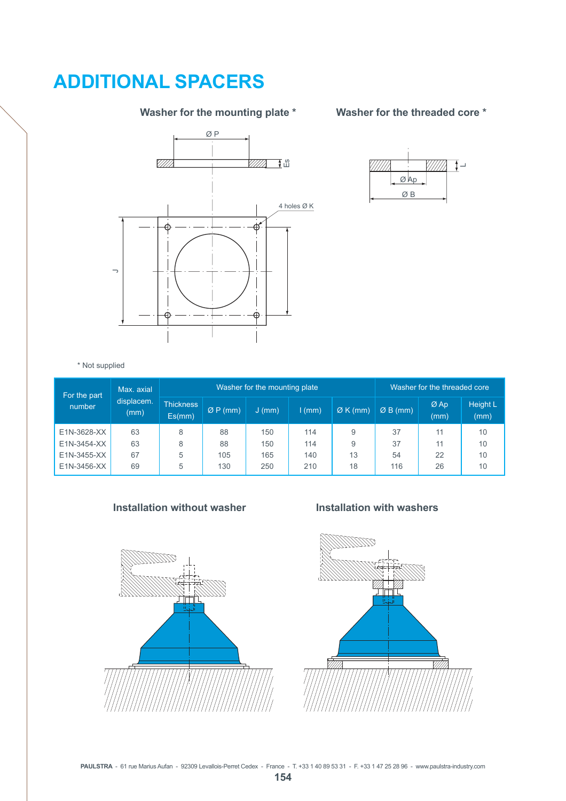# **ADDITIONAL SPACERS**

### **Washer for the mounting plate \***



### **Washer for the threaded core \***



\* Not supplied

| For the part | Max. axial<br>displacem.<br>(mm) |                            |          | Washer for the mounting plate | Washer for the threaded core |        |           |                |                         |
|--------------|----------------------------------|----------------------------|----------|-------------------------------|------------------------------|--------|-----------|----------------|-------------------------|
| number       |                                  | <b>Thickness</b><br>Es(mm) | Q P (mm) | $J$ (mm)                      | $1$ (mm)                     | ØK(mm) | $ØB$ (mm) | $Ø$ Ap<br>(mm) | <b>Height L</b><br>(mm) |
| E1N-3628-XX  | 63                               | 8                          | 88       | 150                           | 114                          | 9      | 37        | 11             | 10                      |
| E1N-3454-XX  | 63                               | 8                          | 88       | 150                           | 114                          | 9      | 37        | 11             | 10                      |
| E1N-3455-XX  | 67                               | 5                          | 105      | 165                           | 140                          | 13     | 54        | 22             | 10                      |
| E1N-3456-XX  | 69                               | 5                          | 130      | 250                           | 210                          | 18     | 116       | 26             | 10                      |

#### **Installation without washer Installation with washers**